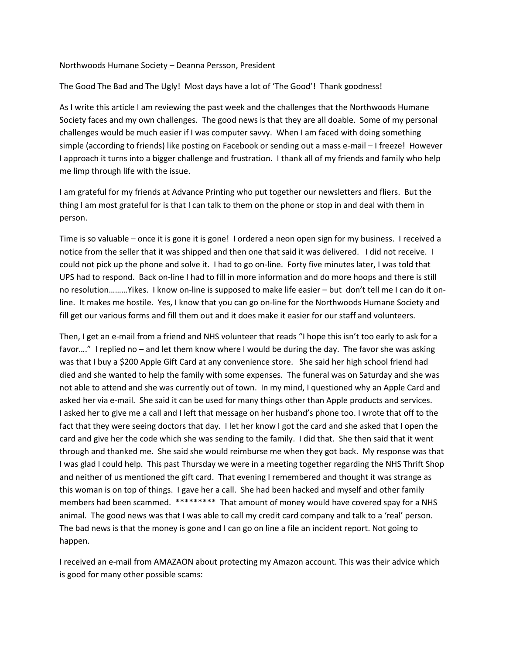## Northwoods Humane Society – Deanna Persson, President

## The Good The Bad and The Ugly! Most days have a lot of 'The Good'! Thank goodness!

As I write this article I am reviewing the past week and the challenges that the Northwoods Humane Society faces and my own challenges. The good news is that they are all doable. Some of my personal challenges would be much easier if I was computer savvy. When I am faced with doing something simple (according to friends) like posting on Facebook or sending out a mass e-mail – I freeze! However I approach it turns into a bigger challenge and frustration. I thank all of my friends and family who help me limp through life with the issue.

I am grateful for my friends at Advance Printing who put together our newsletters and fliers. But the thing I am most grateful for is that I can talk to them on the phone or stop in and deal with them in person.

Time is so valuable – once it is gone it is gone! I ordered a neon open sign for my business. I received a notice from the seller that it was shipped and then one that said it was delivered. I did not receive. I could not pick up the phone and solve it. I had to go on-line. Forty five minutes later, I was told that UPS had to respond. Back on-line I had to fill in more information and do more hoops and there is still no resolution………Yikes. I know on-line is supposed to make life easier – but don't tell me I can do it online. It makes me hostile. Yes, I know that you can go on-line for the Northwoods Humane Society and fill get our various forms and fill them out and it does make it easier for our staff and volunteers.

Then, I get an e-mail from a friend and NHS volunteer that reads "I hope this isn't too early to ask for a favor…." I replied no – and let them know where I would be during the day. The favor she was asking was that I buy a \$200 Apple Gift Card at any convenience store. She said her high school friend had died and she wanted to help the family with some expenses. The funeral was on Saturday and she was not able to attend and she was currently out of town. In my mind, I questioned why an Apple Card and asked her via e-mail. She said it can be used for many things other than Apple products and services. I asked her to give me a call and I left that message on her husband's phone too. I wrote that off to the fact that they were seeing doctors that day. I let her know I got the card and she asked that I open the card and give her the code which she was sending to the family. I did that. She then said that it went through and thanked me. She said she would reimburse me when they got back. My response was that I was glad I could help. This past Thursday we were in a meeting together regarding the NHS Thrift Shop and neither of us mentioned the gift card. That evening I remembered and thought it was strange as this woman is on top of things. I gave her a call. She had been hacked and myself and other family members had been scammed. \*\*\*\*\*\*\*\*\* That amount of money would have covered spay for a NHS animal. The good news was that I was able to call my credit card company and talk to a 'real' person. The bad news is that the money is gone and I can go on line a file an incident report. Not going to happen.

I received an e-mail from AMAZAON about protecting my Amazon account. This was their advice which is good for many other possible scams: